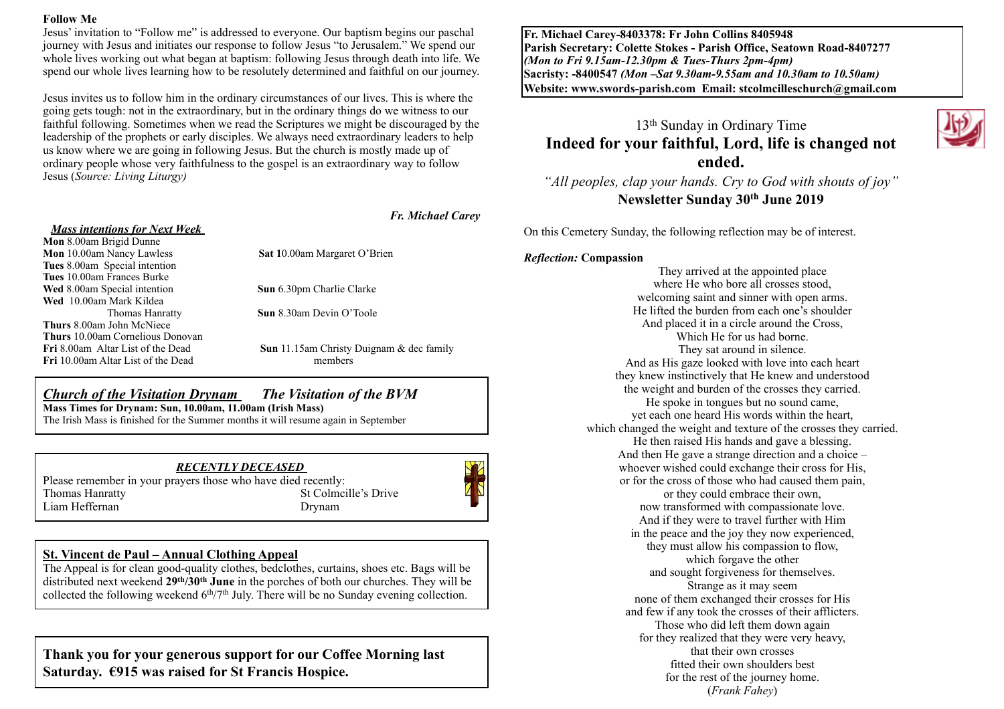#### **Follow Me**

Jesus' invitation to "Follow me" is addressed to everyone. Our baptism begins our paschal journey with Jesus and initiates our response to follow Jesus "to Jerusalem." We spend our whole lives working out what began at baptism: following Jesus through death into life. We spend our whole lives learning how to be resolutely determined and faithful on our journey.

Jesus invites us to follow him in the ordinary circumstances of our lives. This is where the going gets tough: not in the extraordinary, but in the ordinary things do we witness to our faithful following. Sometimes when we read the Scriptures we might be discouraged by the leadership of the prophets or early disciples. We always need extraordinary leaders to help us know where we are going in following Jesus. But the church is mostly made up of ordinary people whose very faithfulness to the gospel is an extraordinary way to follow Jesus (*Source: Living Liturgy)* 

*Fr. Michael Carey*

| <b>Mass intentions for Next Week</b>      |                              |
|-------------------------------------------|------------------------------|
| Mon 8.00am Brigid Dunne                   |                              |
| <b>Mon</b> 10.00am Nancy Lawless          | <b>Sat 10.00am Margaret</b>  |
| Tues 8.00am Special intention             |                              |
| <b>Tues</b> 10.00am Frances Burke         |                              |
| <b>Wed</b> 8.00am Special intention       | <b>Sun</b> 6.30pm Charlie C. |
| Wed 10.00am Mark Kildea                   |                              |
| Thomas Hanratty                           | <b>Sun</b> 8.30am Devin $O7$ |
| <b>Thurs</b> 8.00am John McNiece          |                              |
| <b>Thurs</b> 10.00am Cornelious Donovan   |                              |
| <b>Fri</b> 8.00am Altar List of the Dead  | Sun 11.15am Christy          |
| <b>Fri</b> 10.00am Altar List of the Dead | members                      |

**Sat 10.00am Margaret O'Brien** 

**Sun** 6.30pm Charlie Clarke

**Sun** 8.30am Devin O'Toole

**Sun** 11.15am Christy Duignam & dec family

# *Church of the Visitation Drynam**The Visitation of the BVM* **Mass Times for Drynam: Sun, 10.00am, 11.00am (Irish Mass)**

The Irish Mass is finished for the Summer months it will resume again in September

*RECENTLY DECEASED*  Please remember in your prayers those who have died recently:<br>Thomas Hanratty St Colmci St Colmcille's Drive Liam Heffernan Drynam



## **St. Vincent de Paul – Annual Clothing Appeal**

The Appeal is for clean good-quality clothes, bedclothes, curtains, shoes etc. Bags will be distributed next weekend **29th/30th June** in the porches of both our churches. They will be collected the following weekend  $6<sup>th</sup>/7<sup>th</sup>$  July. There will be no Sunday evening collection.

# **Thank you for your generous support for our Coffee Morning last Saturday. €915 was raised for St Francis Hospice.**

**Fr. Michael Carey-8403378: Fr John Collins 8405948 Parish Secretary: Colette Stokes - Parish Office, Seatown Road-8407277**  *(Mon to Fri 9.15am-12.30pm & Tues-Thurs 2pm-4pm)*  **Sacristy: -8400547** *(Mon –Sat 9.30am-9.55am and 10.30am to 10.50am)* **Website: [www.swords-parish.com Email:](http://www.swords-parish.com%20%20email) stcolmcilleschurch@gmail.com**

# 13th Sunday in Ordinary Time **Indeed for your faithful, Lord, life is changed not ended.**

*"All peoples, clap your hands. Cry to God with shouts of joy"*  **Newsletter Sunday 30th June 2019** 

On this Cemetery Sunday, the following reflection may be of interest.

#### *Reflection:* **Compassion**

They arrived at the appointed place where He who bore all crosses stood. welcoming saint and sinner with open arms. He lifted the burden from each one's shoulder And placed it in a circle around the Cross, Which He for us had borne. They sat around in silence. And as His gaze looked with love into each heart they knew instinctively that He knew and understood the weight and burden of the crosses they carried. He spoke in tongues but no sound came, yet each one heard His words within the heart, which changed the weight and texture of the crosses they carried. He then raised His hands and gave a blessing. And then He gave a strange direction and a choice – whoever wished could exchange their cross for His, or for the cross of those who had caused them pain, or they could embrace their own, now transformed with compassionate love. And if they were to travel further with Him in the peace and the joy they now experienced, they must allow his compassion to flow, which forgave the other and sought forgiveness for themselves. Strange as it may seem none of them exchanged their crosses for His and few if any took the crosses of their afflicters. Those who did left them down again for they realized that they were very heavy, that their own crosses fitted their own shoulders best for the rest of the journey home. (*Frank Fahey*)